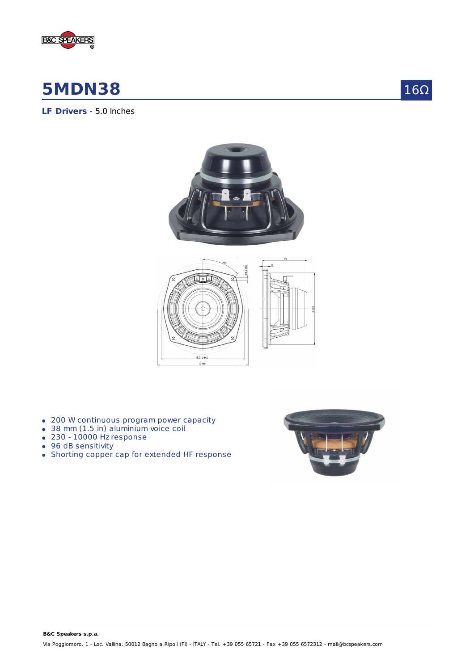

# **5MDN38**

 $16\Omega$ 

**LF Drivers** - 5.0 Inches





- 200 W continuous program power capacity
- 38 mm (1.5 in) aluminium voice coil
- 230 10000 Hz response
- 96 dB sensitivity
- Shorting copper cap for extended HF response